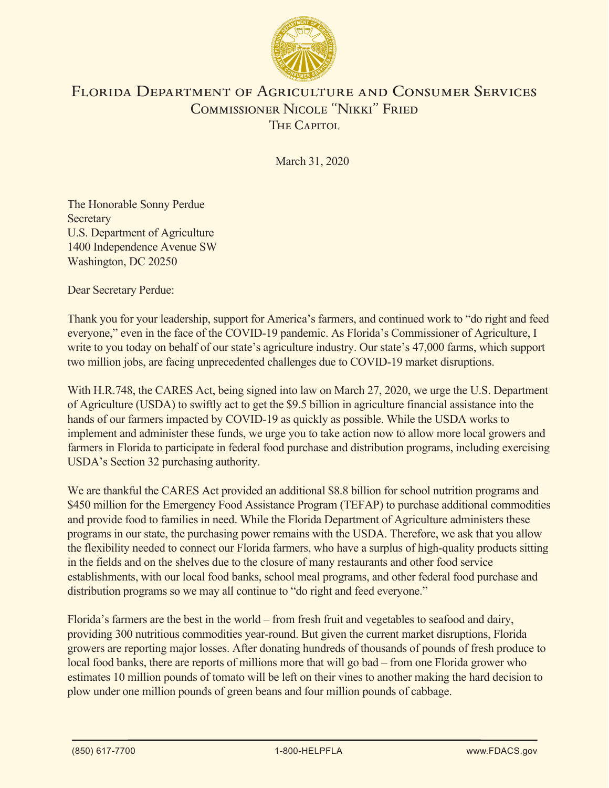

## Florida Department of Agriculture and Consumer Services Commissioner Nicole "Nikki" Fried THE CAPITOL

March 31, 2020

The Honorable Sonny Perdue **Secretary** U.S. Department of Agriculture 1400 Independence Avenue SW Washington, DC 20250

Dear Secretary Perdue:

Thank you for your leadership, support for America's farmers, and continued work to "do right and feed everyone," even in the face of the COVID-19 pandemic. As Florida's Commissioner of Agriculture, I write to you today on behalf of our state's agriculture industry. Our state's 47,000 farms, which support two million jobs, are facing unprecedented challenges due to COVID-19 market disruptions.

With H.R.748, the CARES Act, being signed into law on March 27, 2020, we urge the U.S. Department of Agriculture (USDA) to swiftly act to get the \$9.5 billion in agriculture financial assistance into the hands of our farmers impacted by COVID-19 as quickly as possible. While the USDA works to implement and administer these funds, we urge you to take action now to allow more local growers and farmers in Florida to participate in federal food purchase and distribution programs, including exercising USDA's Section 32 purchasing authority.

We are thankful the CARES Act provided an additional \$8.8 billion for school nutrition programs and \$450 million for the Emergency Food Assistance Program (TEFAP) to purchase additional commodities and provide food to families in need. While the Florida Department of Agriculture administers these programs in our state, the purchasing power remains with the USDA. Therefore, we ask that you allow the flexibility needed to connect our Florida farmers, who have a surplus of high-quality products sitting in the fields and on the shelves due to the closure of many restaurants and other food service establishments, with our local food banks, school meal programs, and other federal food purchase and distribution programs so we may all continue to "do right and feed everyone."

Florida's farmers are the best in the world – from fresh fruit and vegetables to seafood and dairy, providing 300 nutritious commodities year-round. But given the current market disruptions, Florida growers are reporting major losses. After donating hundreds of thousands of pounds of fresh produce to local food banks, there are reports of millions more that will go bad – from one Florida grower who estimates 10 million pounds of tomato will be left on their vines to another making the hard decision to plow under one million pounds of green beans and four million pounds of cabbage.